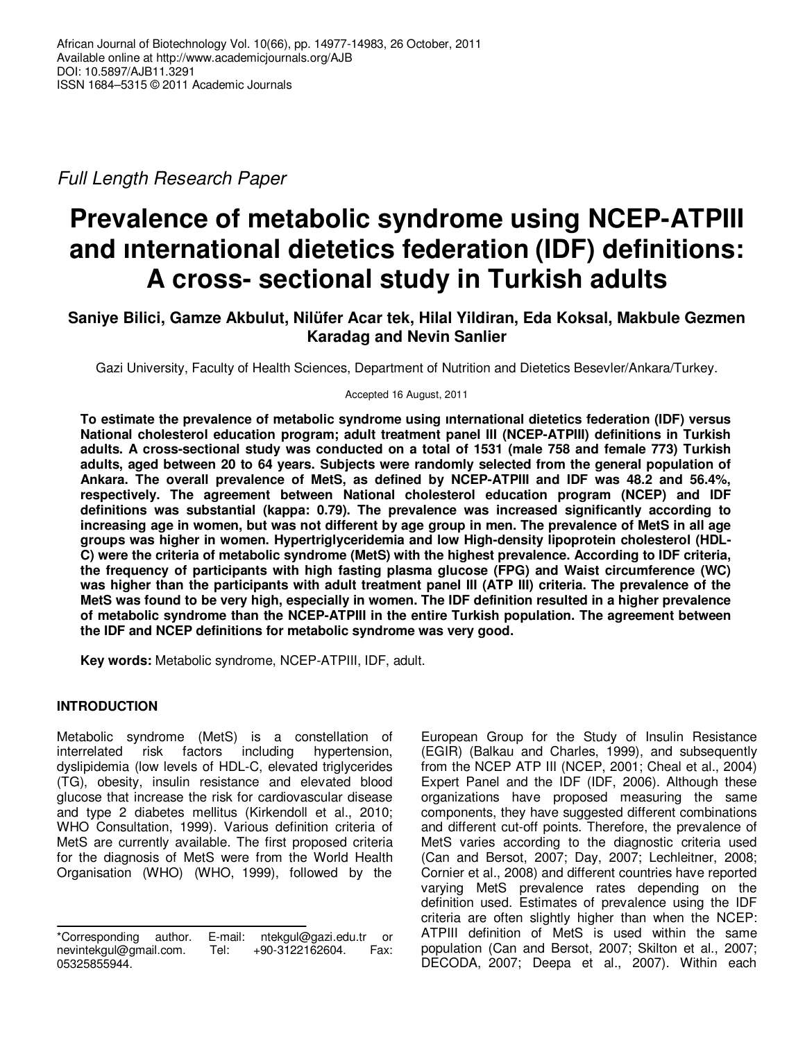Full Length Research Paper

# **Prevalence of metabolic syndrome using NCEP-ATPIII and ınternational dietetics federation (IDF) definitions: A cross- sectional study in Turkish adults**

## **Saniye Bilici, Gamze Akbulut, Nilüfer Acar tek, Hilal Yildiran, Eda Koksal, Makbule Gezmen Karadag and Nevin Sanlier**

Gazi University, Faculty of Health Sciences, Department of Nutrition and Dietetics Besevler/Ankara/Turkey.

Accepted 16 August, 2011

**To estimate the prevalence of metabolic syndrome using ınternational dietetics federation (IDF) versus National cholesterol education program; adult treatment panel III (NCEP-ATPIII) definitions in Turkish adults. A cross-sectional study was conducted on a total of 1531 (male 758 and female 773) Turkish adults, aged between 20 to 64 years. Subjects were randomly selected from the general population of Ankara. The overall prevalence of MetS, as defined by NCEP-ATPIII and IDF was 48.2 and 56.4%, respectively. The agreement between National cholesterol education program (NCEP) and IDF definitions was substantial (kappa: 0.79). The prevalence was increased significantly according to increasing age in women, but was not different by age group in men. The prevalence of MetS in all age groups was higher in women. Hypertriglyceridemia and low High-density lipoprotein cholesterol (HDL-C) were the criteria of metabolic syndrome (MetS) with the highest prevalence. According to IDF criteria, the frequency of participants with high fasting plasma glucose (FPG) and Waist circumference (WC) was higher than the participants with adult treatment panel III (ATP III) criteria. The prevalence of the MetS was found to be very high, especially in women. The IDF definition resulted in a higher prevalence of metabolic syndrome than the NCEP-ATPIII in the entire Turkish population. The agreement between the IDF and NCEP definitions for metabolic syndrome was very good.** 

**Key words:** Metabolic syndrome, NCEP-ATPIII, IDF, adult.

## **INTRODUCTION**

Metabolic syndrome (MetS) is a constellation of interrelated risk factors including hypertension, dyslipidemia (low levels of HDL-C, elevated triglycerides (TG), obesity, insulin resistance and elevated blood glucose that increase the risk for cardiovascular disease and type 2 diabetes mellitus (Kirkendoll et al., 2010; WHO Consultation, 1999). Various definition criteria of MetS are currently available. The first proposed criteria for the diagnosis of MetS were from the World Health Organisation (WHO) (WHO, 1999), followed by the

European Group for the Study of Insulin Resistance (EGIR) (Balkau and Charles, 1999), and subsequently from the NCEP ATP III (NCEP, 2001; Cheal et al., 2004) Expert Panel and the IDF (IDF, 2006). Although these organizations have proposed measuring the same components, they have suggested different combinations and different cut-off points. Therefore, the prevalence of MetS varies according to the diagnostic criteria used (Can and Bersot, 2007; Day, 2007; Lechleitner, 2008; Cornier et al., 2008) and different countries have reported varying MetS prevalence rates depending on the definition used. Estimates of prevalence using the IDF criteria are often slightly higher than when the NCEP: ATPIII definition of MetS is used within the same population (Can and Bersot, 2007; Skilton et al., 2007; DECODA, 2007; Deepa et al., 2007). Within each

<sup>\*</sup>Corresponding author. E-mail: ntekgul@gazi.edu.tr or nevintekgul@gmail.com. Tel: +90-3122162604. Fax: 05325855944.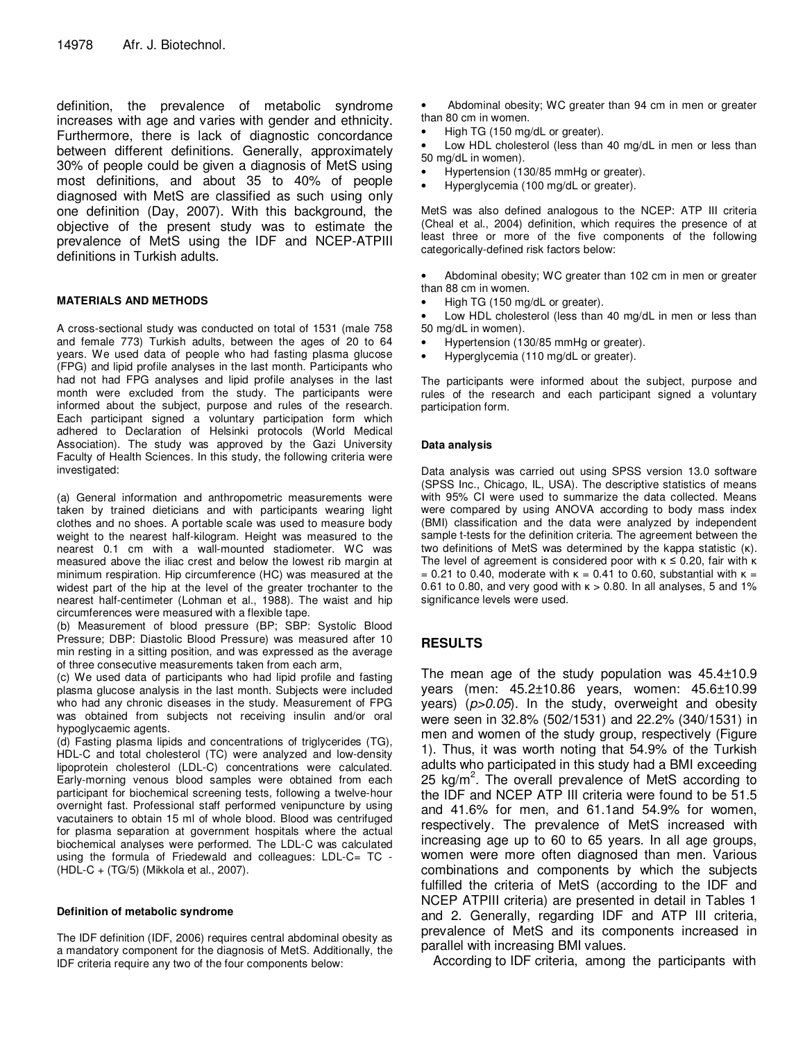definition, the prevalence of metabolic syndrome increases with age and varies with gender and ethnicity. Furthermore, there is lack of diagnostic concordance between different definitions. Generally, approximately 30% of people could be given a diagnosis of MetS using most definitions, and about 35 to 40% of people diagnosed with MetS are classified as such using only one definition (Day, 2007). With this background, the objective of the present study was to estimate the prevalence of MetS using the IDF and NCEP-ATPIII definitions in Turkish adults.

#### **MATERIALS AND METHODS**

A cross-sectional study was conducted on total of 1531 (male 758 and female 773) Turkish adults, between the ages of 20 to 64 years. We used data of people who had fasting plasma glucose (FPG) and lipid profile analyses in the last month. Participants who had not had FPG analyses and lipid profile analyses in the last month were excluded from the study. The participants were informed about the subject, purpose and rules of the research. Each participant signed a voluntary participation form which adhered to Declaration of Helsinki protocols (World Medical Association). The study was approved by the Gazi University Faculty of Health Sciences. In this study, the following criteria were investigated:

(a) General information and anthropometric measurements were taken by trained dieticians and with participants wearing light clothes and no shoes. A portable scale was used to measure body weight to the nearest half-kilogram. Height was measured to the nearest 0.1 cm with a wall-mounted stadiometer. WC was measured above the iliac crest and below the lowest rib margin at minimum respiration. Hip circumference (HC) was measured at the widest part of the hip at the level of the greater trochanter to the nearest half-centimeter (Lohman et al., 1988). The waist and hip circumferences were measured with a flexible tape.

(b) Measurement of blood pressure (BP; SBP: Systolic Blood Pressure; DBP: Diastolic Blood Pressure) was measured after 10 min resting in a sitting position, and was expressed as the average of three consecutive measurements taken from each arm,

(c) We used data of participants who had lipid profile and fasting plasma glucose analysis in the last month. Subjects were included who had any chronic diseases in the study. Measurement of FPG was obtained from subjects not receiving insulin and/or oral hypoglycaemic agents.

(d) Fasting plasma lipids and concentrations of triglycerides (TG), HDL-C and total cholesterol (TC) were analyzed and low-density lipoprotein cholesterol (LDL-C) concentrations were calculated. Early-morning venous blood samples were obtained from each participant for biochemical screening tests, following a twelve-hour overnight fast. Professional staff performed venipuncture by using vacutainers to obtain 15 ml of whole blood. Blood was centrifuged for plasma separation at government hospitals where the actual biochemical analyses were performed. The LDL-C was calculated using the formula of Friedewald and colleagues: LDL-C= TC - (HDL-C + (TG/5) (Mikkola et al., 2007).

#### **Definition of metabolic syndrome**

The IDF definition (IDF, 2006) requires central abdominal obesity as a mandatory component for the diagnosis of MetS. Additionally, the IDF criteria require any two of the four components below:

- Abdominal obesity; WC greater than 94 cm in men or greater than 80 cm in women.
- High TG (150 mg/dL or greater).

Low HDL cholesterol (less than 40 mg/dL in men or less than 50 mg/dL in women).

- Hypertension (130/85 mmHg or greater).
- Hyperglycemia (100 mg/dL or greater).

MetS was also defined analogous to the NCEP: ATP III criteria (Cheal et al., 2004) definition, which requires the presence of at least three or more of the five components of the following categorically-defined risk factors below:

• Abdominal obesity; WC greater than 102 cm in men or greater than 88 cm in women.

• High TG (150 mg/dL or greater).

Low HDL cholesterol (less than 40 mg/dL in men or less than 50 mg/dL in women).

- Hypertension (130/85 mmHg or greater).
- Hyperglycemia (110 mg/dL or greater).

The participants were informed about the subject, purpose and rules of the research and each participant signed a voluntary participation form.

#### **Data analysis**

Data analysis was carried out using SPSS version 13.0 software (SPSS Inc., Chicago, IL, USA). The descriptive statistics of means with 95% CI were used to summarize the data collected. Means were compared by using ANOVA according to body mass index (BMI) classification and the data were analyzed by independent sample t-tests for the definition criteria. The agreement between the two definitions of MetS was determined by the kappa statistic (κ). The level of agreement is considered poor with  $\kappa \leq 0.20$ , fair with  $\kappa$ = 0.21 to 0.40, moderate with  $\kappa$  = 0.41 to 0.60, substantial with  $\kappa$  = 0.61 to 0.80, and very good with  $\kappa > 0.80$ . In all analyses, 5 and 1% significance levels were used.

## **RESULTS**

The mean age of the study population was 45.4±10.9 years (men: 45.2±10.86 years, women: 45.6±10.99 years) (p>0.05). In the study, overweight and obesity were seen in 32.8% (502/1531) and 22.2% (340/1531) in men and women of the study group, respectively (Figure 1). Thus, it was worth noting that 54.9% of the Turkish adults who participated in this study had a BMI exceeding 25  $kg/m<sup>2</sup>$ . The overall prevalence of MetS according to the IDF and NCEP ATP III criteria were found to be 51.5 and 41.6% for men, and 61.1and 54.9% for women, respectively. The prevalence of MetS increased with increasing age up to 60 to 65 years. In all age groups, women were more often diagnosed than men. Various combinations and components by which the subjects fulfilled the criteria of MetS (according to the IDF and NCEP ATPIII criteria) are presented in detail in Tables 1 and 2. Generally, regarding IDF and ATP III criteria, prevalence of MetS and its components increased in parallel with increasing BMI values.

According to IDF criteria, among the participants with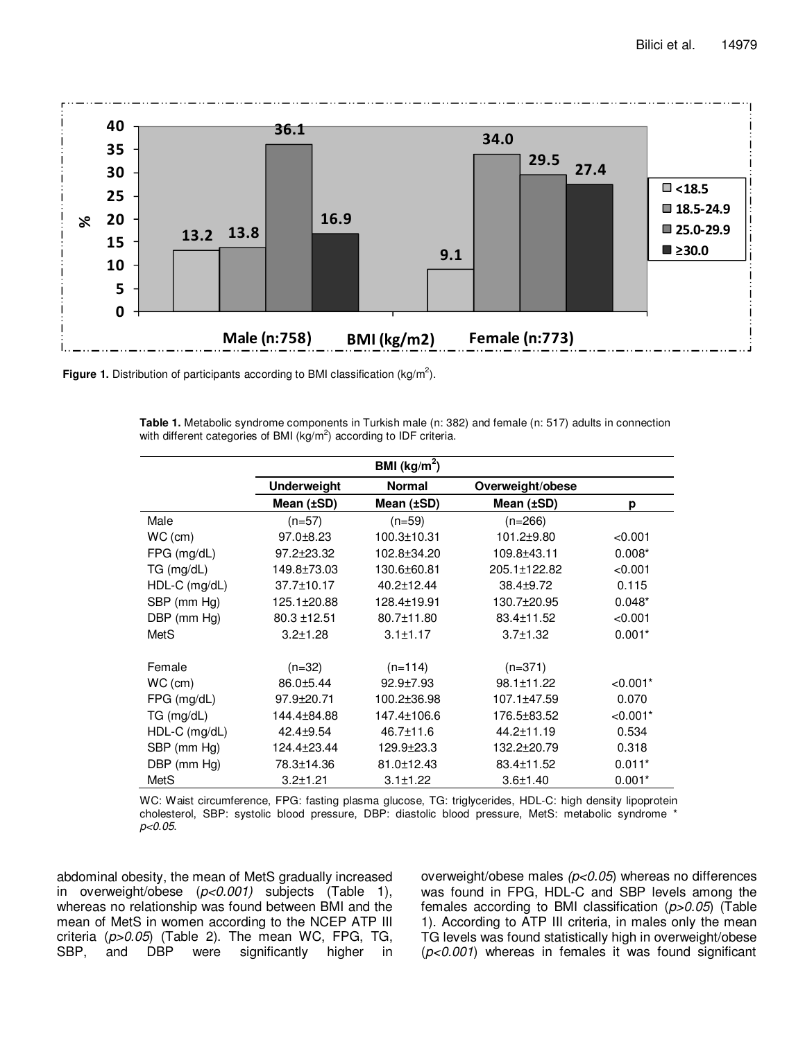

Figure 1. Distribution of participants according to BMI classification (kg/m<sup>2</sup>).

**Table 1.** Metabolic syndrome components in Turkish male (n: 382) and female (n: 517) adults in connection with different categories of BMI ( $kg/m<sup>2</sup>$ ) according to IDF criteria.

|               |                    | BMI ( $kg/m2$ ) |                  |            |
|---------------|--------------------|-----------------|------------------|------------|
|               | <b>Underweight</b> | <b>Normal</b>   | Overweight/obese |            |
|               | Mean (±SD)         | Mean (±SD)      | Mean (±SD)       | р          |
| Male          | $(n=57)$           | $(n=59)$        | $(n=266)$        |            |
| $WC$ (cm)     | $97.0 + 8.23$      | 100.3±10.31     | 101.2±9.80       | < 0.001    |
| FPG (mg/dL)   | 97.2±23.32         | 102.8±34.20     | 109.8±43.11      | $0.008*$   |
| TG (mg/dL)    | 149.8±73.03        | 130.6±60.81     | 205.1±122.82     | < 0.001    |
| HDL-C (mg/dL) | 37.7±10.17         | 40.2±12.44      | 38.4±9.72        | 0.115      |
| SBP (mm Hg)   | 125.1±20.88        | 128.4±19.91     | 130.7±20.95      | $0.048*$   |
| DBP (mm Hg)   | $80.3 \pm 12.51$   | 80.7±11.80      | 83.4±11.52       | < 0.001    |
| MetS          | $3.2 \pm 1.28$     | $3.1 \pm 1.17$  | $3.7 \pm 1.32$   | $0.001*$   |
|               |                    |                 |                  |            |
| Female        | $(n=32)$           | $(n=114)$       | $(n=371)$        |            |
| $WC$ (cm)     | 86.0±5.44          | $92.9{\pm}7.93$ | 98.1±11.22       | $< 0.001*$ |
| $FPG$ (mg/dL) | 97.9±20.71         | 100.2±36.98     | 107.1±47.59      | 0.070      |
| TG (mg/dL)    | 144.4±84.88        | 147.4±106.6     | 176.5±83.52      | $< 0.001*$ |
| HDL-C (mg/dL) | 42.4±9.54          | 46.7±11.6       | 44.2±11.19       | 0.534      |
| SBP (mm Hg)   | 124.4±23.44        | 129.9±23.3      | 132.2±20.79      | 0.318      |
| DBP (mm Hg)   | 78.3±14.36         | 81.0±12.43      | 83.4±11.52       | $0.011*$   |
| MetS          | $3.2 \pm 1.21$     | $3.1 \pm 1.22$  | $3.6 \pm 1.40$   | $0.001*$   |

WC: Waist circumference, FPG: fasting plasma glucose, TG: triglycerides, HDL-C: high density lipoprotein cholesterol, SBP: systolic blood pressure, DBP: diastolic blood pressure, MetS: metabolic syndrome \* p<0.05.

abdominal obesity, the mean of MetS gradually increased in overweight/obese (p<0.001) subjects (Table 1), whereas no relationship was found between BMI and the mean of MetS in women according to the NCEP ATP III criteria (p>0.05) (Table 2). The mean WC, FPG, TG, SBP, and DBP were significantly higher in overweight/obese males  $(p<0.05)$  whereas no differences was found in FPG, HDL-C and SBP levels among the females according to BMI classification  $(p>0.05)$  (Table 1). According to ATP III criteria, in males only the mean TG levels was found statistically high in overweight/obese  $(p<0.001)$  whereas in females it was found significant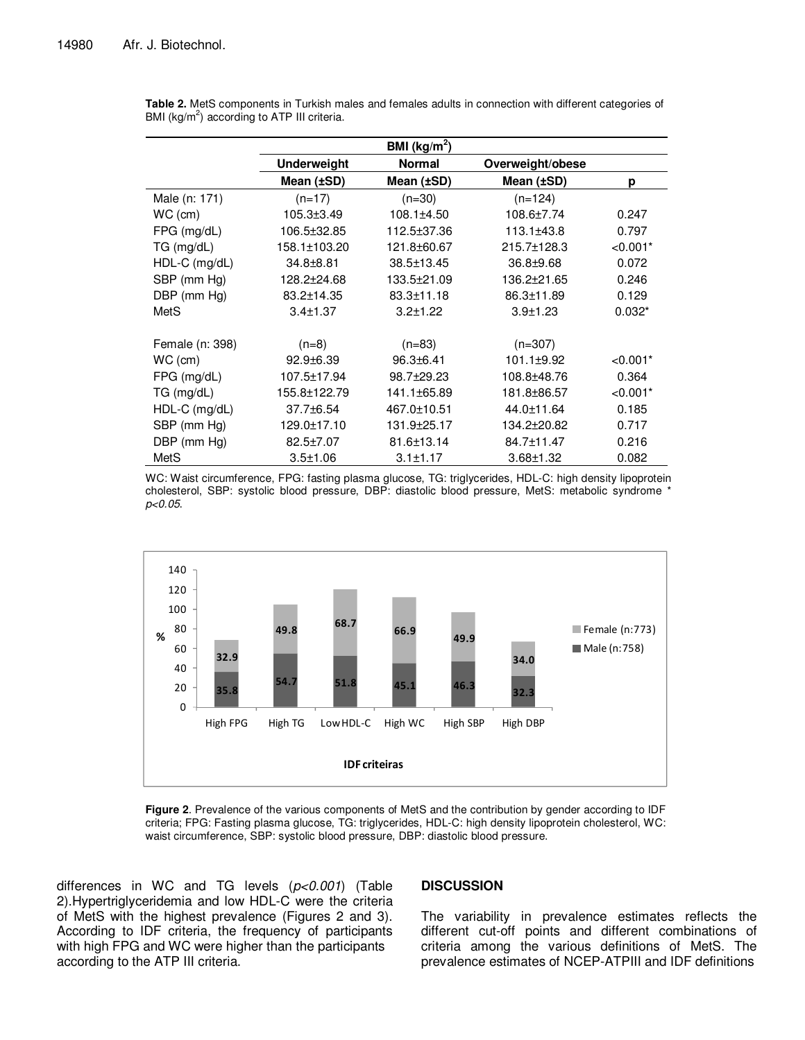|                 |                    | BMI ( $kg/m2$ )  |                  |            |
|-----------------|--------------------|------------------|------------------|------------|
|                 | <b>Underweight</b> | <b>Normal</b>    | Overweight/obese |            |
|                 | Mean (±SD)         | Mean (±SD)       | Mean (±SD)       | р          |
| Male (n: 171)   | $(n=17)$           | $(n=30)$         | $(n=124)$        |            |
| $WC$ (cm)       | $105.3 \pm 3.49$   | $108.1 \pm 4.50$ | 108.6±7.74       | 0.247      |
| FPG (mg/dL)     | 106.5±32.85        | 112.5±37.36      | 113.1±43.8       | 0.797      |
| TG (mg/dL)      | 158.1±103.20       | 121.8±60.67      | 215.7±128.3      | $< 0.001*$ |
| $HDL-C$ (mg/dL) | 34.8±8.81          | 38.5±13.45       | $36.8 + 9.68$    | 0.072      |
| SBP (mm Hg)     | 128.2±24.68        | 133.5±21.09      | 136.2±21.65      | 0.246      |
| DBP (mm Hg)     | 83.2±14.35         | $83.3 \pm 11.18$ | 86.3±11.89       | 0.129      |
| MetS            | $3.4 \pm 1.37$     | $3.2 \pm 1.22$   | $3.9 + 1.23$     | $0.032*$   |
|                 |                    |                  |                  |            |
| Female (n: 398) | $(n=8)$            | $(n=83)$         | $(n=307)$        |            |
| $WC$ (cm)       | $92.9 + 6.39$      | $96.3 + 6.41$    | $101.1 \pm 9.92$ | $< 0.001*$ |
| $FPG$ (mg/dL)   | 107.5±17.94        | 98.7±29.23       | 108.8±48.76      | 0.364      |
| TG (mg/dL)      | 155.8±122.79       | 141.1±65.89      | 181.8±86.57      | $< 0.001*$ |
| $HDL-C$ (mg/dL) | 37.7±6.54          | 467.0±10.51      | 44.0±11.64       | 0.185      |
| SBP (mm Hg)     | 129.0±17.10        | 131.9±25.17      | 134.2±20.82      | 0.717      |
| DBP (mm Hg)     | 82.5±7.07          | 81.6±13.14       | 84.7±11.47       | 0.216      |
| MetS            | $3.5 \pm 1.06$     | $3.1 \pm 1.17$   | $3.68 + 1.32$    | 0.082      |

**Table 2.** MetS components in Turkish males and females adults in connection with different categories of BMI (kg/m<sup>2</sup>) according to ATP III criteria.

WC: Waist circumference, FPG: fasting plasma glucose, TG: triglycerides, HDL-C: high density lipoprotein cholesterol, SBP: systolic blood pressure, DBP: diastolic blood pressure, MetS: metabolic syndrome \* p<0.05.



**Figure 2**. Prevalence of the various components of MetS and the contribution by gender according to IDF criteria; FPG: Fasting plasma glucose, TG: triglycerides, HDL-C: high density lipoprotein cholesterol, WC: waist circumference, SBP: systolic blood pressure, DBP: diastolic blood pressure.

differences in WC and TG levels  $(p<0.001)$  (Table 2).Hypertriglyceridemia and low HDL-C were the criteria of MetS with the highest prevalence (Figures 2 and 3). According to IDF criteria, the frequency of participants with high FPG and WC were higher than the participants according to the ATP III criteria.

## **DISCUSSION**

The variability in prevalence estimates reflects the different cut-off points and different combinations of criteria among the various definitions of MetS. The prevalence estimates of NCEP-ATPIII and IDF definitions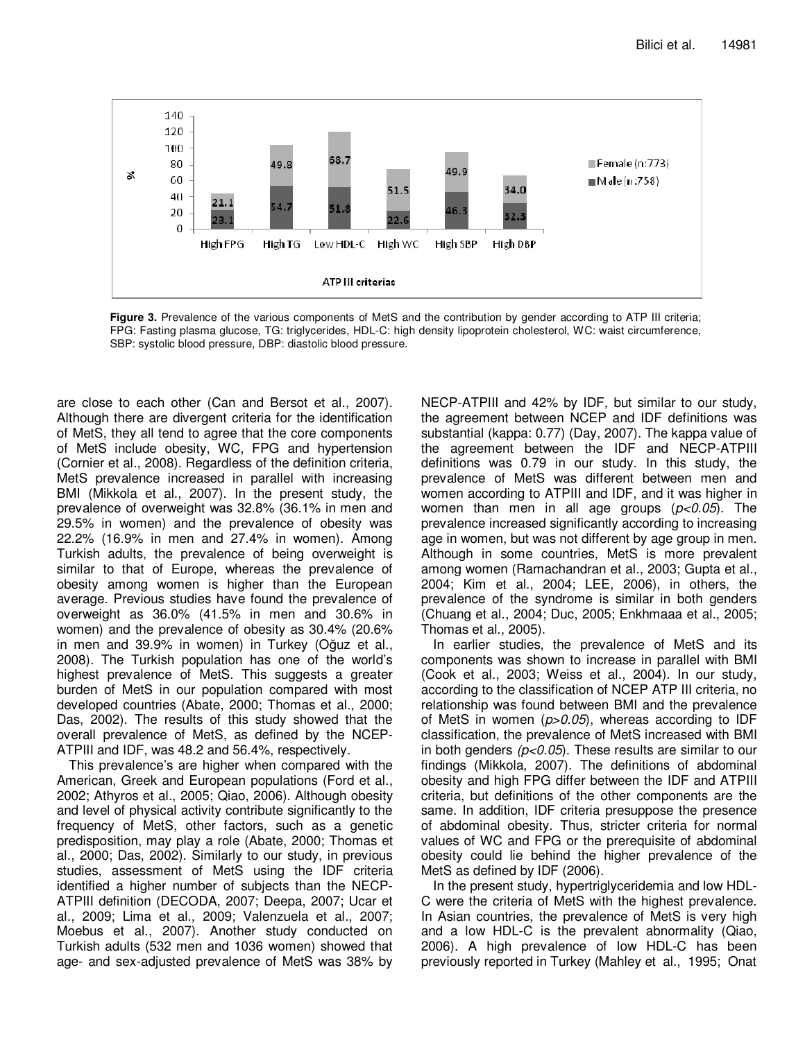

Figure 3. Prevalence of the various components of MetS and the contribution by gender according to ATP III criteria; FPG: Fasting plasma glucose, TG: triglycerides, HDL-C: high density lipoprotein cholesterol, WC: waist circumference, SBP: systolic blood pressure, DBP: diastolic blood pressure.

are close to each other (Can and Bersot et al., 2007). Although there are divergent criteria for the identification of MetS, they all tend to agree that the core components of MetS include obesity, WC, FPG and hypertension (Cornier et al., 2008). Regardless of the definition criteria, MetS prevalence increased in parallel with increasing BMI (Mikkola et al., 2007). In the present study, the prevalence of overweight was 32.8% (36.1% in men and 29.5% in women) and the prevalence of obesity was 22.2% (16.9% in men and 27.4% in women). Among Turkish adults, the prevalence of being overweight is similar to that of Europe, whereas the prevalence of obesity among women is higher than the European average. Previous studies have found the prevalence of overweight as 36.0% (41.5% in men and 30.6% in women) and the prevalence of obesity as 30.4% (20.6% in men and 39.9% in women) in Turkey (Oğuz et al., 2008). The Turkish population has one of the world's highest prevalence of MetS. This suggests a greater burden of MetS in our population compared with most developed countries (Abate, 2000; Thomas et al., 2000; Das, 2002). The results of this study showed that the overall prevalence of MetS, as defined by the NCEP-ATPIII and IDF, was 48.2 and 56.4%, respectively.

This prevalence's are higher when compared with the American, Greek and European populations (Ford et al., 2002; Athyros et al., 2005; Qiao, 2006). Although obesity and level of physical activity contribute significantly to the frequency of MetS, other factors, such as a genetic predisposition, may play a role (Abate, 2000; Thomas et al., 2000; Das, 2002). Similarly to our study, in previous studies, assessment of MetS using the IDF criteria identified a higher number of subjects than the NECP-ATPIII definition (DECODA, 2007; Deepa, 2007; Ucar et al., 2009; Lima et al., 2009; Valenzuela et al., 2007; Moebus et al., 2007). Another study conducted on Turkish adults (532 men and 1036 women) showed that age- and sex-adjusted prevalence of MetS was 38% by

NECP-ATPIII and 42% by IDF, but similar to our study, the agreement between NCEP and IDF definitions was substantial (kappa: 0.77) (Day, 2007). The kappa value of the agreement between the IDF and NECP-ATPIII definitions was 0.79 in our study. In this study, the prevalence of MetS was different between men and women according to ATPIII and IDF, and it was higher in women than men in all age groups  $(p<0.05)$ . The prevalence increased significantly according to increasing age in women, but was not different by age group in men. Although in some countries, MetS is more prevalent among women (Ramachandran et al., 2003; Gupta et al., 2004; Kim et al., 2004; LEE, 2006), in others, the prevalence of the syndrome is similar in both genders (Chuang et al., 2004; Duc, 2005; Enkhmaaa et al., 2005; Thomas et al., 2005).

In earlier studies, the prevalence of MetS and its components was shown to increase in parallel with BMI (Cook et al., 2003; Weiss et al., 2004). In our study, according to the classification of NCEP ATP III criteria, no relationship was found between BMI and the prevalence of MetS in women  $(p>0.05)$ , whereas according to IDF classification, the prevalence of MetS increased with BMI in both genders  $(p<0.05)$ . These results are similar to our findings (Mikkola, 2007). The definitions of abdominal obesity and high FPG differ between the IDF and ATPIII criteria, but definitions of the other components are the same. In addition, IDF criteria presuppose the presence of abdominal obesity. Thus, stricter criteria for normal values of WC and FPG or the prerequisite of abdominal obesity could lie behind the higher prevalence of the MetS as defined by IDF (2006).

In the present study, hypertriglyceridemia and low HDL-C were the criteria of MetS with the highest prevalence. In Asian countries, the prevalence of MetS is very high and a low HDL-C is the prevalent abnormality (Qiao, 2006). A high prevalence of low HDL-C has been previously reported in Turkey (Mahley et al., 1995; Onat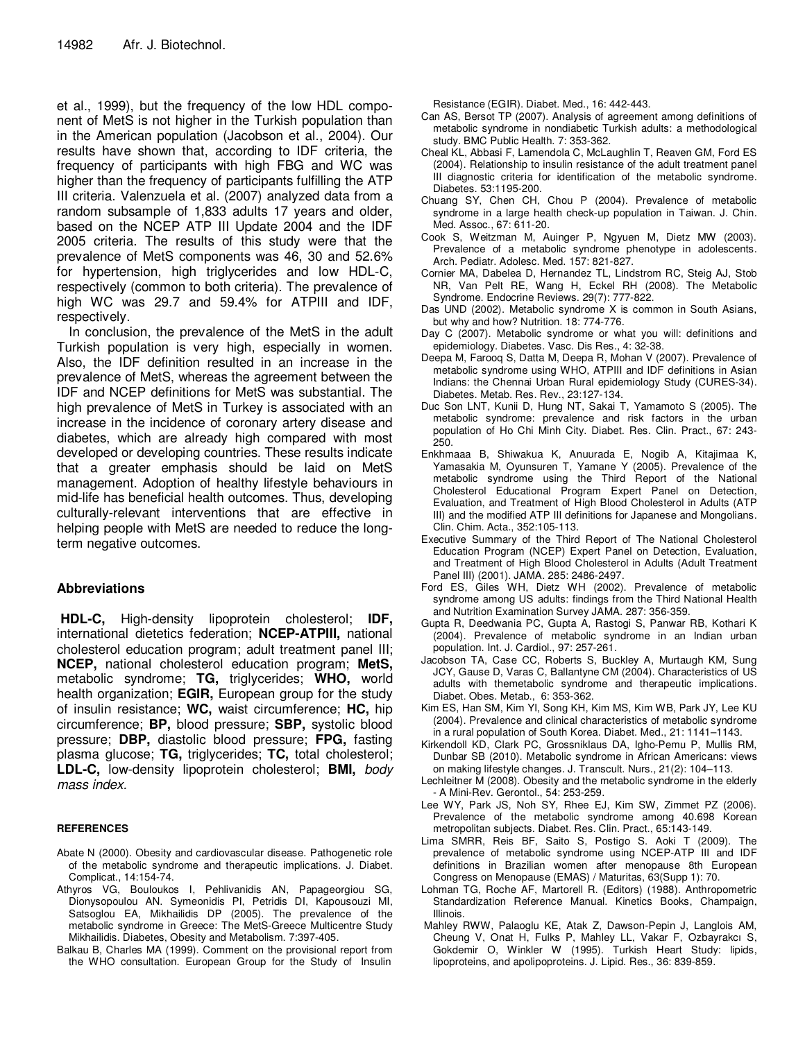et al., 1999), but the frequency of the low HDL component of MetS is not higher in the Turkish population than in the American population (Jacobson et al., 2004). Our results have shown that, according to IDF criteria, the frequency of participants with high FBG and WC was higher than the frequency of participants fulfilling the ATP III criteria. Valenzuela et al. (2007) analyzed data from a random subsample of 1,833 adults 17 years and older, based on the NCEP ATP III Update 2004 and the IDF 2005 criteria. The results of this study were that the prevalence of MetS components was 46, 30 and 52.6% for hypertension, high triglycerides and low HDL-C, respectively (common to both criteria). The prevalence of high WC was 29.7 and 59.4% for ATPIII and IDF, respectively.

In conclusion, the prevalence of the MetS in the adult Turkish population is very high, especially in women. Also, the IDF definition resulted in an increase in the prevalence of MetS, whereas the agreement between the IDF and NCEP definitions for MetS was substantial. The high prevalence of MetS in Turkey is associated with an increase in the incidence of coronary artery disease and diabetes, which are already high compared with most developed or developing countries. These results indicate that a greater emphasis should be laid on MetS management. Adoption of healthy lifestyle behaviours in mid-life has beneficial health outcomes. Thus, developing culturally-relevant interventions that are effective in helping people with MetS are needed to reduce the longterm negative outcomes.

## **Abbreviations**

**HDL-C,** High-density lipoprotein cholesterol; **IDF,** international dietetics federation; **NCEP-ATPIII,** national cholesterol education program; adult treatment panel III; **NCEP,** national cholesterol education program; **MetS,**  metabolic syndrome; **TG,** triglycerides; **WHO,** world health organization; **EGIR,** European group for the study of insulin resistance; **WC,** waist circumference; **HC,** hip circumference; **BP,** blood pressure; **SBP,** systolic blood pressure; **DBP,** diastolic blood pressure; **FPG,** fasting plasma glucose; **TG,** triglycerides; **TC,** total cholesterol; **LDL-C,** low-density lipoprotein cholesterol; **BMI,** body mass index.

#### **REFERENCES**

- Abate N (2000). Obesity and cardiovascular disease. Pathogenetic role of the metabolic syndrome and therapeutic implications. J. Diabet. Complicat., 14:154-74.
- Athyros VG, Bouloukos I, Pehlivanidis AN, Papageorgiou SG, Dionysopoulou AN. Symeonidis PI, Petridis DI, Kapousouzi MI, Satsoglou EA, Mikhailidis DP (2005). The prevalence of the metabolic syndrome in Greece: The MetS-Greece Multicentre Study Mikhailidis. Diabetes, Obesity and Metabolism. 7:397-405.
- Balkau B, Charles MA (1999). Comment on the provisional report from the WHO consultation. European Group for the Study of Insulin

Resistance (EGIR). Diabet. Med., 16: 442-443.

- Can AS, Bersot TP (2007). Analysis of agreement among definitions of metabolic syndrome in nondiabetic Turkish adults: a methodological study. BMC Public Health. 7: 353-362.
- Cheal KL, Abbasi F, Lamendola C, McLaughlin T, Reaven GM, Ford ES (2004). Relationship to insulin resistance of the adult treatment panel III diagnostic criteria for identification of the metabolic syndrome. Diabetes. 53:1195-200.
- Chuang SY, Chen CH, Chou P (2004). Prevalence of metabolic syndrome in a large health check-up population in Taiwan. J. Chin. Med. Assoc., 67: 611-20.
- Cook S, Weitzman M, Auinger P, Ngyuen M, Dietz MW (2003). Prevalence of a metabolic syndrome phenotype in adolescents. Arch. Pediatr. Adolesc. Med. 157: 821-827.
- Cornier MA, Dabelea D, Hernandez TL, Lindstrom RC, Steig AJ, Stob NR, Van Pelt RE, Wang H, Eckel RH (2008). The Metabolic Syndrome. Endocrine Reviews. 29(7): 777-822.
- Das UND (2002). Metabolic syndrome X is common in South Asians, but why and how? Nutrition. 18: 774-776.
- Day C (2007). Metabolic syndrome or what you will: definitions and epidemiology. Diabetes. Vasc. Dis Res., 4: 32-38.
- Deepa M, Farooq S, Datta M, Deepa R, Mohan V (2007). Prevalence of metabolic syndrome using WHO, ATPIII and IDF definitions in Asian Indians: the Chennai Urban Rural epidemiology Study (CURES-34). Diabetes. Metab. Res. Rev., 23:127-134.
- Duc Son LNT, Kunii D, Hung NT, Sakai T, Yamamoto S (2005). The metabolic syndrome: prevalence and risk factors in the urban population of Ho Chi Minh City. Diabet. Res. Clin. Pract., 67: 243- 250.
- Enkhmaaa B, Shiwakua K, Anuurada E, Nogib A, Kitajimaa K, Yamasakia M, Oyunsuren T, Yamane Y (2005). Prevalence of the metabolic syndrome using the Third Report of the National Cholesterol Educational Program Expert Panel on Detection, Evaluation, and Treatment of High Blood Cholesterol in Adults (ATP III) and the modified ATP III definitions for Japanese and Mongolians. Clin. Chim. Acta., 352:105-113.
- Executive Summary of the Third Report of The National Cholesterol Education Program (NCEP) Expert Panel on Detection, Evaluation, and Treatment of High Blood Cholesterol in Adults (Adult Treatment Panel III) (2001). JAMA. 285: 2486-2497.
- Ford ES, Giles WH, Dietz WH (2002). Prevalence of metabolic syndrome among US adults: findings from the Third National Health and Nutrition Examination Survey JAMA. 287: 356-359.
- Gupta R, Deedwania PC, Gupta A, Rastogi S, Panwar RB, Kothari K (2004). Prevalence of metabolic syndrome in an Indian urban population. Int. J. Cardiol., 97: 257-261.
- Jacobson TA, Case CC, Roberts S, Buckley A, Murtaugh KM, Sung JCY, Gause D, Varas C, Ballantyne CM (2004). Characteristics of US adults with themetabolic syndrome and therapeutic implications. Diabet. Obes. Metab., 6: 353-362.
- Kim ES, Han SM, Kim YI, Song KH, Kim MS, Kim WB, Park JY, Lee KU (2004). Prevalence and clinical characteristics of metabolic syndrome in a rural population of South Korea. Diabet. Med., 21: 1141–1143.
- Kirkendoll KD, Clark PC, Grossniklaus DA, Igho-Pemu P, Mullis RM, Dunbar SB (2010). Metabolic syndrome in African Americans: views on making lifestyle changes. J. Transcult. Nurs., 21(2): 104–113.
- Lechleitner M (2008). Obesity and the metabolic syndrome in the elderly - A Mini-Rev. Gerontol., 54: 253-259.
- Lee WY, Park JS, Noh SY, Rhee EJ, Kim SW, Zimmet PZ (2006). Prevalence of the metabolic syndrome among 40.698 Korean metropolitan subjects. Diabet. Res. Clin. Pract., 65:143-149.
- Lima SMRR, Reis BF, Saito S, Postigo S. Aoki T (2009). The prevalence of metabolic syndrome using NCEP-ATP III and IDF definitions in Brazilian women after menopause 8th European Congress on Menopause (EMAS) / Maturitas, 63(Supp 1): 70.
- Lohman TG, Roche AF, Martorell R. (Editors) (1988). Anthropometric Standardization Reference Manual. Kinetics Books, Champaign, Illinois.
- Mahley RWW, Palaoglu KE, Atak Z, Dawson-Pepin J, Langlois AM, Cheung V, Onat H, Fulks P, Mahley LL, Vakar F, Ozbayrakcı S, Gokdemir O, Winkler W (1995). Turkish Heart Study: lipids, lipoproteins, and apolipoproteins. J. Lipid. Res., 36: 839-859.